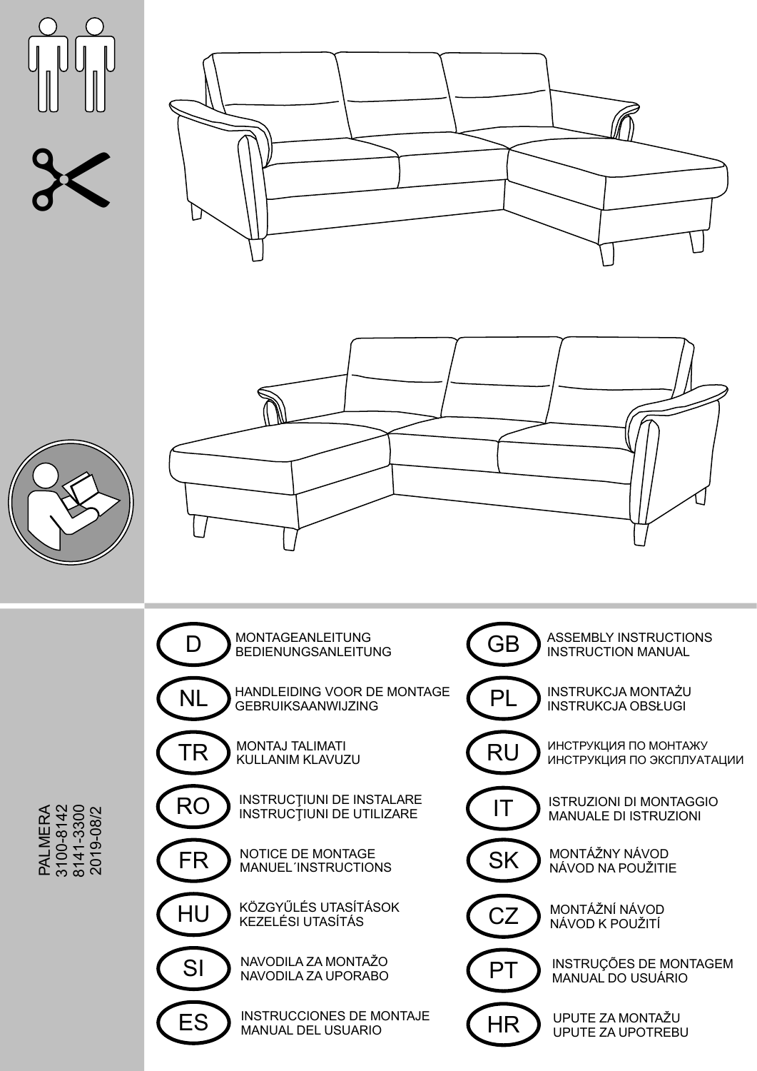





PA L نے ∑ шò r ź  $\triangleleft$  ( 310 0-814 2 8141-3 3 **0 :** 0 2019-0 8/2

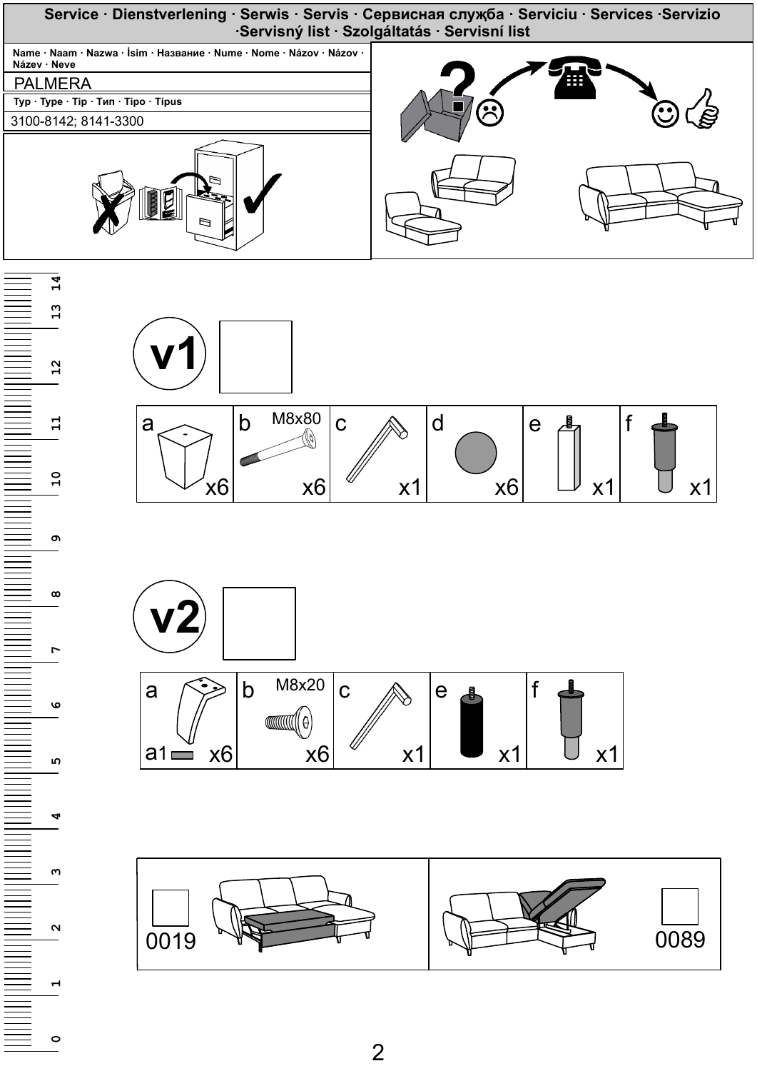

 $\overline{2}$ 

 $\circ$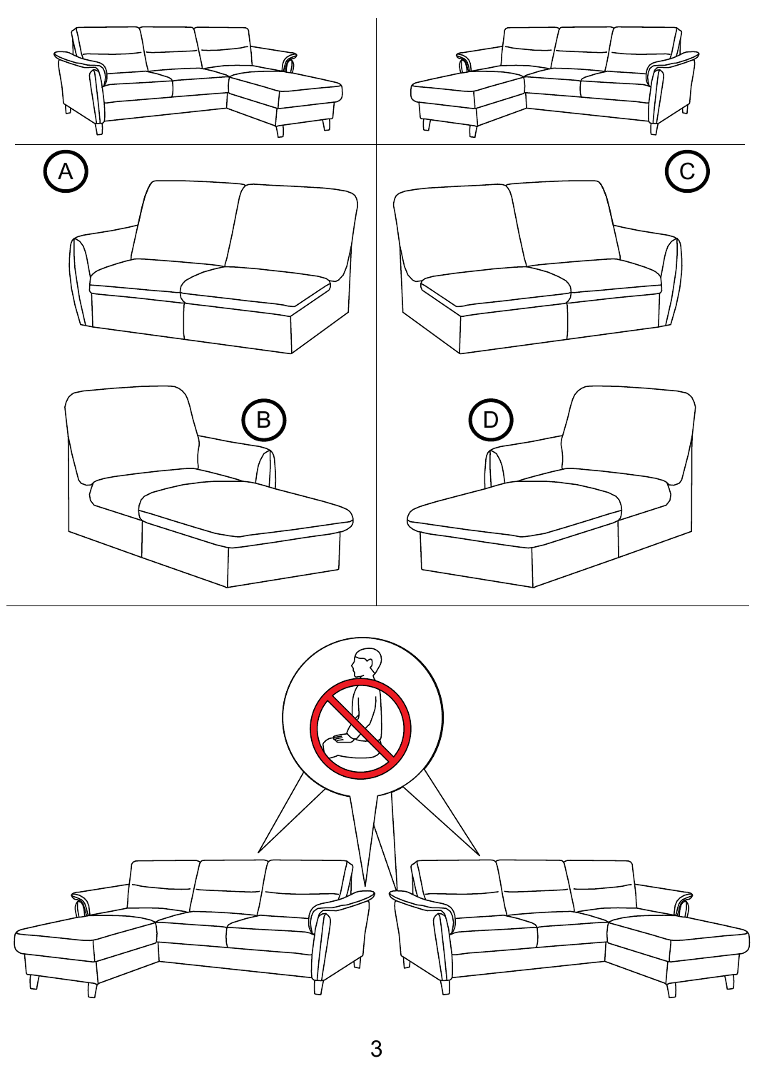

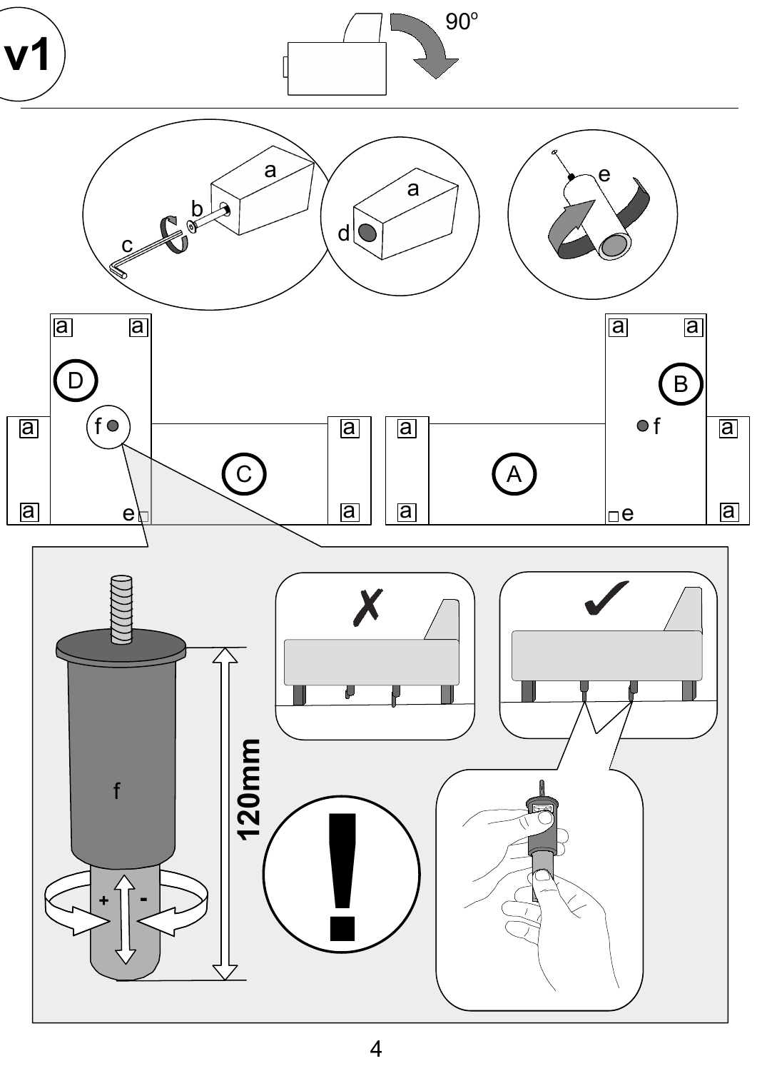

 $\overline{\mathcal{A}}$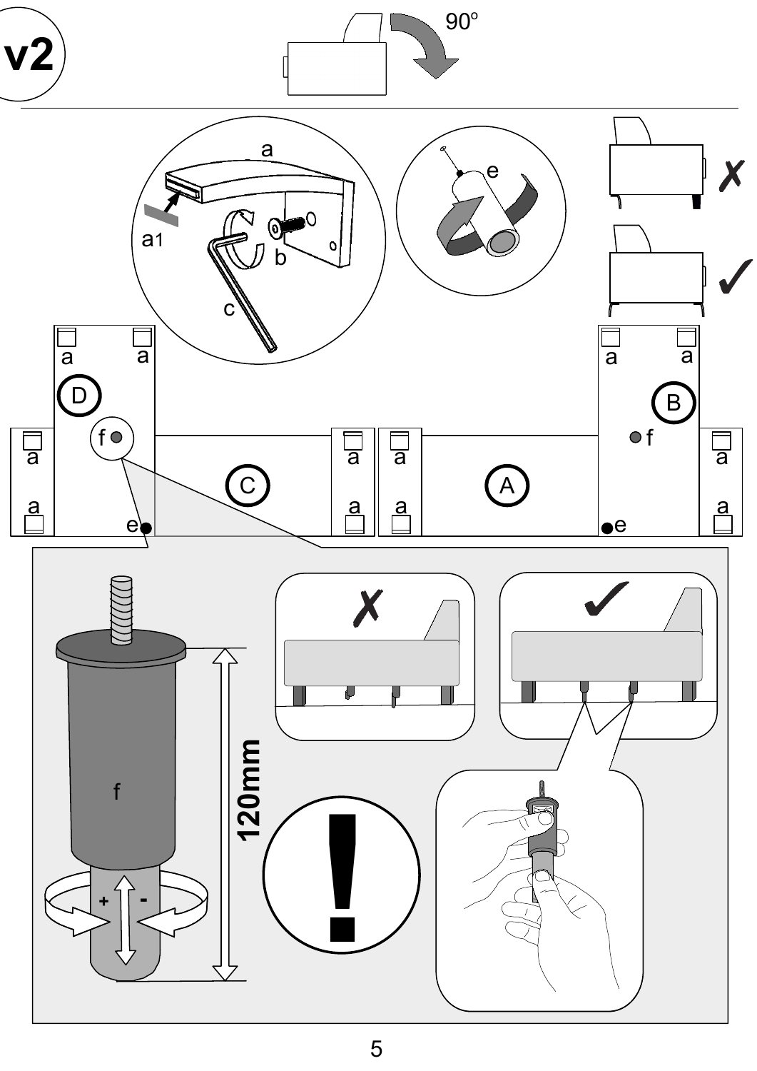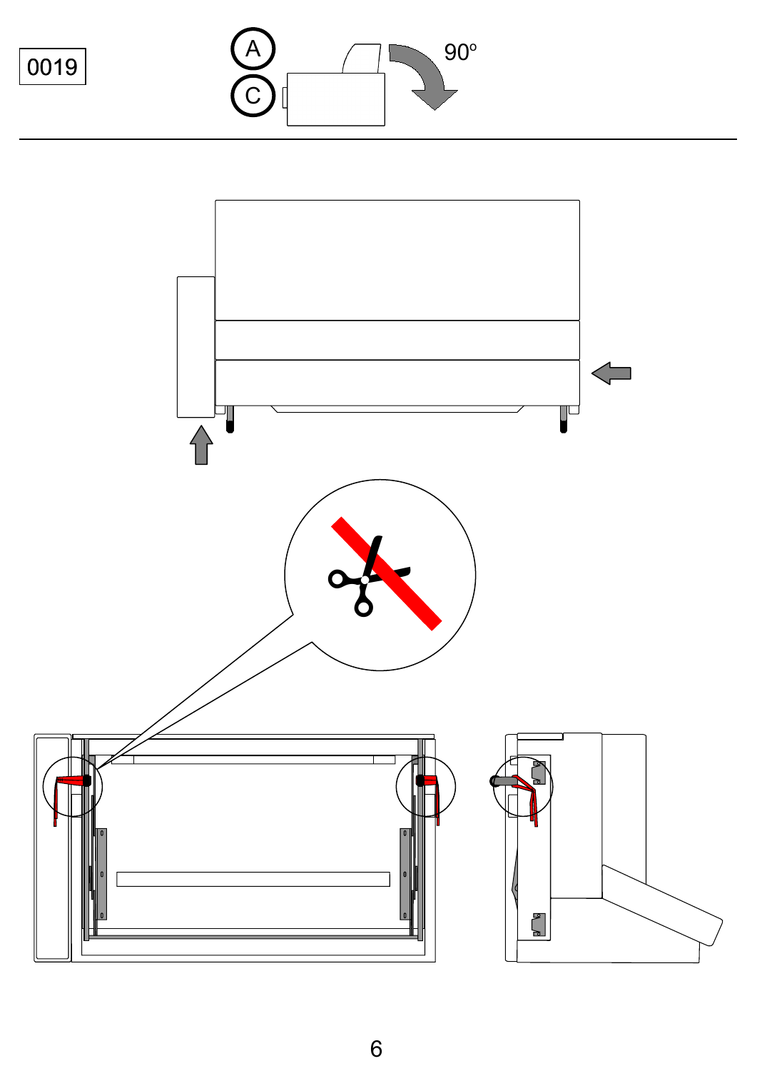



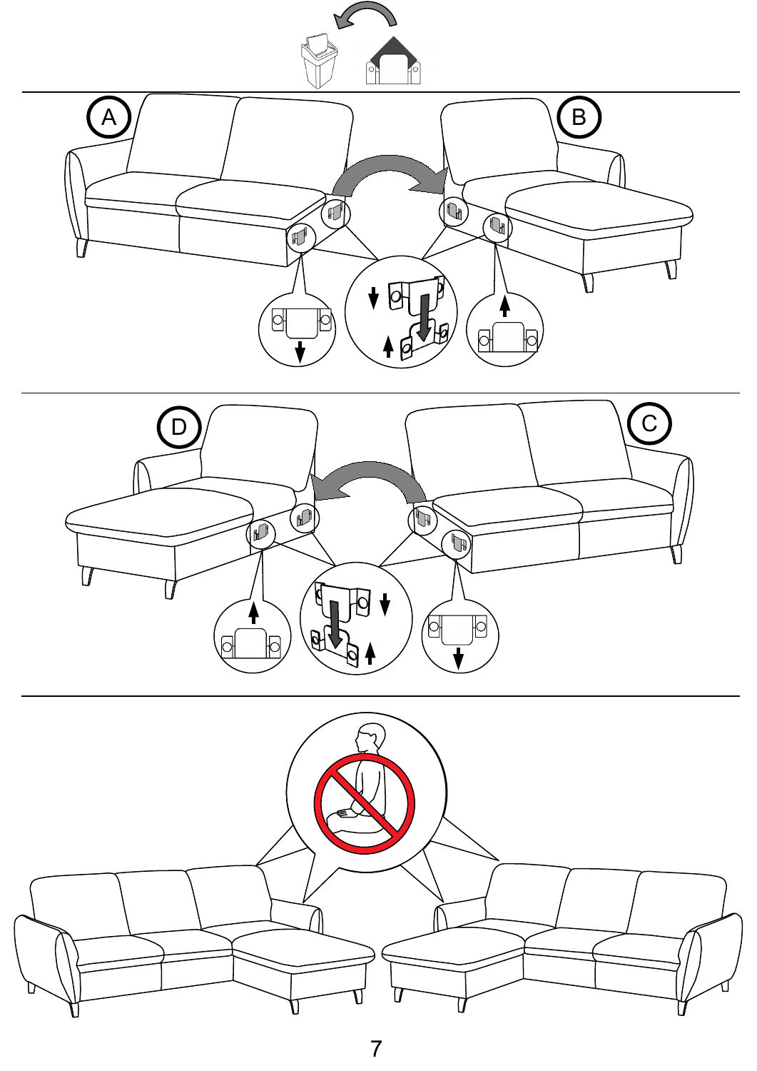

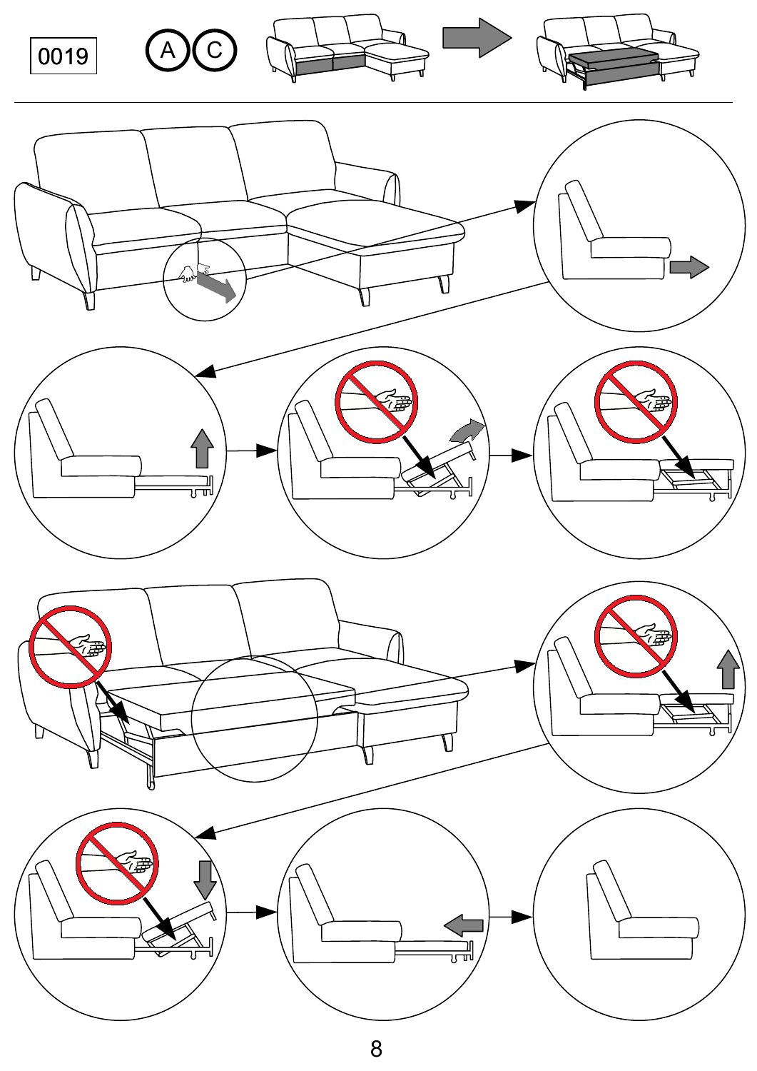